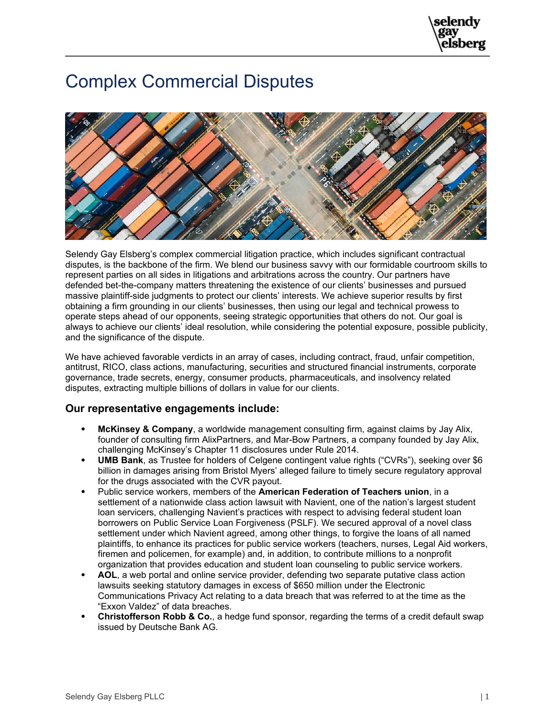## Complex Commercial Disputes



Selendy Gay Elsberg's complex commercial litigation practice, which includes significant contractual disputes, is the backbone of the firm. We blend our business savvy with our formidable courtroom skills to represent parties on all sides in litigations and arbitrations across the country. Our partners have defended bet-the-company matters threatening the existence of our clients' businesses and pursued massive plaintiff-side judgments to protect our clients' interests. We achieve superior results by first obtaining a firm grounding in our clients' businesses, then using our legal and technical prowess to operate steps ahead of our opponents, seeing strategic opportunities that others do not. Our goal is always to achieve our clients' ideal resolution, while considering the potential exposure, possible publicity, and the significance of the dispute.

We have achieved favorable verdicts in an array of cases, including contract, fraud, unfair competition, antitrust, RICO, class actions, manufacturing, securities and structured financial instruments, corporate governance, trade secrets, energy, consumer products, pharmaceuticals, and insolvency related disputes, extracting multiple billions of dollars in value for our clients.

## **Our representative engagements include:**

- **McKinsey & Company**, a worldwide management consulting firm, against claims by Jay Alix, founder of consulting firm AlixPartners, and Mar-Bow Partners, a company founded by Jay Alix, challenging McKinsey's Chapter 11 disclosures under Rule 2014.
- **UMB Bank**, as Trustee for holders of Celgene contingent value rights ("CVRs"), seeking over \$6 billion in damages arising from Bristol Myers' alleged failure to timely secure regulatory approval for the drugs associated with the CVR payout.
- Public service workers, members of the **American Federation of Teachers union**, in a settlement of a nationwide class action lawsuit with Navient, one of the nation's largest student loan servicers, challenging Navient's practices with respect to advising federal student loan borrowers on Public Service Loan Forgiveness (PSLF). We secured approval of a novel class settlement under which Navient agreed, among other things, to forgive the loans of all named plaintiffs, to enhance its practices for public service workers (teachers, nurses, Legal Aid workers, firemen and policemen, for example) and, in addition, to contribute millions to a nonprofit organization that provides education and student loan counseling to public service workers.
- **AOL**, a web portal and online service provider, defending two separate putative class action lawsuits seeking statutory damages in excess of \$650 million under the Electronic Communications Privacy Act relating to a data breach that was referred to at the time as the "Exxon Valdez" of data breaches.
- **Christofferson Robb & Co.**, a hedge fund sponsor, regarding the terms of a credit default swap issued by Deutsche Bank AG.